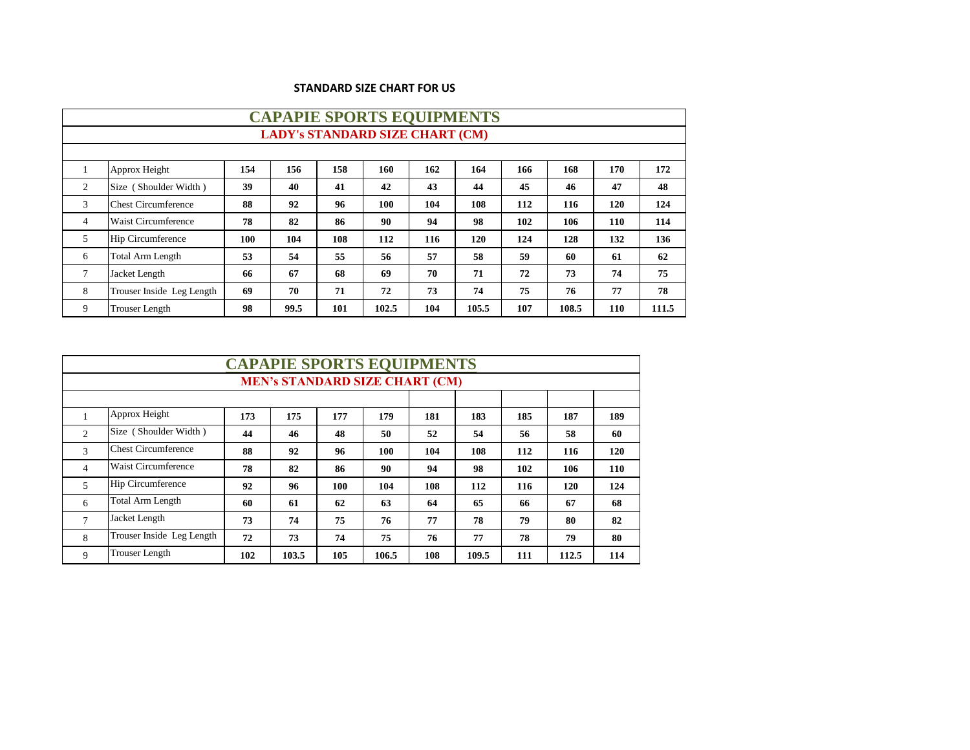|  | <b>STANDARD SIZE CHART FOR US</b> |  |
|--|-----------------------------------|--|
|--|-----------------------------------|--|

|    | <b>CAPAPIE SPORTS EQUIPMENTS</b>       |     |      |     |       |     |       |     |       |     |       |  |  |
|----|----------------------------------------|-----|------|-----|-------|-----|-------|-----|-------|-----|-------|--|--|
|    | <b>LADY's STANDARD SIZE CHART (CM)</b> |     |      |     |       |     |       |     |       |     |       |  |  |
|    |                                        |     |      |     |       |     |       |     |       |     |       |  |  |
|    | Approx Height                          | 154 | 156  | 158 | 160   | 162 | 164   | 166 | 168   | 170 | 172   |  |  |
| 2  | Size (Shoulder Width)                  | 39  | 40   | 41  | 42    | 43  | 44    | 45  | 46    | 47  | 48    |  |  |
| 3  | <b>Chest Circumference</b>             | 88  | 92   | 96  | 100   | 104 | 108   | 112 | 116   | 120 | 124   |  |  |
| 4  | <b>Waist Circumference</b>             | 78  | 82   | 86  | 90    | 94  | 98    | 102 | 106   | 110 | 114   |  |  |
| 5. | <b>Hip Circumference</b>               | 100 | 104  | 108 | 112   | 116 | 120   | 124 | 128   | 132 | 136   |  |  |
| 6  | <b>Total Arm Length</b>                | 53  | 54   | 55  | 56    | 57  | 58    | 59  | 60    | 61  | 62    |  |  |
| 7  | Jacket Length                          | 66  | 67   | 68  | 69    | 70  | 71    | 72  | 73    | 74  | 75    |  |  |
| 8  | Trouser Inside Leg Length              | 69  | 70   | 71  | 72    | 73  | 74    | 75  | 76    | 77  | 78    |  |  |
| 9  | <b>Trouser Length</b>                  | 98  | 99.5 | 101 | 102.5 | 104 | 105.5 | 107 | 108.5 | 110 | 111.5 |  |  |

|                |                            |     |       |     | <b>CAPAPIE SPORTS EQUIPMENTS</b>      |     |       |     |       |            |
|----------------|----------------------------|-----|-------|-----|---------------------------------------|-----|-------|-----|-------|------------|
|                |                            |     |       |     | <b>MEN's STANDARD SIZE CHART (CM)</b> |     |       |     |       |            |
|                |                            |     |       |     |                                       |     |       |     |       |            |
|                | Approx Height              | 173 | 175   | 177 | 179                                   | 181 | 183   | 185 | 187   | 189        |
| $\overline{2}$ | Size (Shoulder Width)      | 44  | 46    | 48  | 50                                    | 52  | 54    | 56  | 58    | 60         |
| 3              | <b>Chest Circumference</b> | 88  | 92    | 96  | 100                                   | 104 | 108   | 112 | 116   | 120        |
| $\overline{4}$ | <b>Waist Circumference</b> | 78  | 82    | 86  | 90                                    | 94  | 98    | 102 | 106   | <b>110</b> |
| 5              | <b>Hip Circumference</b>   | 92  | 96    | 100 | 104                                   | 108 | 112   | 116 | 120   | 124        |
| 6              | <b>Total Arm Length</b>    | 60  | 61    | 62  | 63                                    | 64  | 65    | 66  | 67    | 68         |
| $\mathcal{I}$  | Jacket Length              | 73  | 74    | 75  | 76                                    | 77  | 78    | 79  | 80    | 82         |
| 8              | Trouser Inside Leg Length  | 72  | 73    | 74  | 75                                    | 76  | 77    | 78  | 79    | 80         |
| 9              | <b>Trouser Length</b>      | 102 | 103.5 | 105 | 106.5                                 | 108 | 109.5 | 111 | 112.5 | 114        |